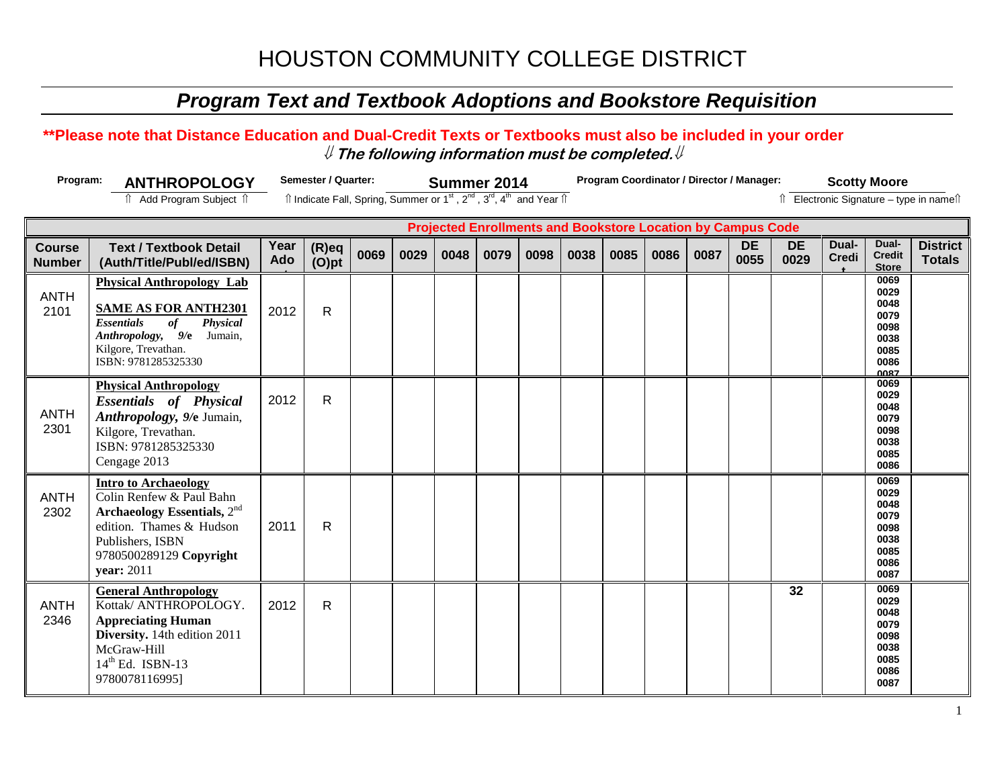## *Program Text and Textbook Adoptions and Bookstore Requisition*

#### **\*\*Please note that Distance Education and Dual-Credit Texts or Textbooks must also be included in your order** ⇓ **The following information must be completed.**⇓

ANTH 2346

Kottak/ ANTHROPOLOGY. **Appreciating Human Diversity.** 14th edition 2011

2012 R

McGraw-Hill  $14<sup>th</sup>$  Ed. ISBN-13 9780078116995]

| Program:                                                           | <b>ANTHROPOLOGY</b>                                                                                                                                                                      | Semester / Quarter: |                                                                                                                       |      | Summer 2014 |      |      |      | Program Coordinator / Director / Manager: |      |      |      |                   |                   | <b>Scotty Moore</b>   |                                                                      |                                         |  |
|--------------------------------------------------------------------|------------------------------------------------------------------------------------------------------------------------------------------------------------------------------------------|---------------------|-----------------------------------------------------------------------------------------------------------------------|------|-------------|------|------|------|-------------------------------------------|------|------|------|-------------------|-------------------|-----------------------|----------------------------------------------------------------------|-----------------------------------------|--|
|                                                                    | <b>↑ Add Program Subject ↑</b>                                                                                                                                                           |                     | Îl Indicate Fall, Spring, Summer or 1 <sup>st</sup> , 2 <sup>nd</sup> , 3 <sup>rd</sup> , 4 <sup>th</sup> and Year Îl |      |             |      |      |      |                                           |      |      |      |                   |                   |                       |                                                                      | î Electronic Signature - type in nameîl |  |
| <b>Projected Enrollments and Bookstore Location by Campus Code</b> |                                                                                                                                                                                          |                     |                                                                                                                       |      |             |      |      |      |                                           |      |      |      |                   |                   |                       |                                                                      |                                         |  |
| <b>Course</b><br><b>Number</b>                                     | <b>Text / Textbook Detail</b><br>(Auth/Title/Publ/ed/ISBN)                                                                                                                               | Year<br><b>Ado</b>  | $(R)$ eq<br>$(O)$ pt                                                                                                  | 0069 | 0029        | 0048 | 0079 | 0098 | 0038                                      | 0085 | 0086 | 0087 | <b>DE</b><br>0055 | <b>DE</b><br>0029 | Dual-<br><b>Credi</b> | Dual-<br><b>Credit</b><br><b>Store</b>                               | <b>District</b><br><b>Totals</b>        |  |
| <b>ANTH</b><br>2101                                                | <b>Physical Anthropology Lab</b><br><b>SAME AS FOR ANTH2301</b><br><b>Essentials</b><br>of<br><b>Physical</b><br>Anthropology, 9/e Jumain,<br>Kilgore, Trevathan.<br>ISBN: 9781285325330 | 2012                | R                                                                                                                     |      |             |      |      |      |                                           |      |      |      |                   |                   |                       | 0069<br>0029<br>0048<br>0079<br>0098<br>0038<br>0085<br>0086<br>0087 |                                         |  |
| <b>ANTH</b><br>2301                                                | <b>Physical Anthropology</b><br><b>Essentials of Physical</b><br>Anthropology, 9/e Jumain,<br>Kilgore, Trevathan.<br>ISBN: 9781285325330<br>Cengage 2013                                 | 2012                | $\mathsf{R}$                                                                                                          |      |             |      |      |      |                                           |      |      |      |                   |                   |                       | 0069<br>0029<br>0048<br>0079<br>0098<br>0038<br>0085<br>0086         |                                         |  |
| <b>ANTH</b><br>2302                                                | <b>Intro to Archaeology</b><br>Colin Renfew & Paul Bahn<br>Archaeology Essentials, $2nd$<br>edition. Thames & Hudson<br>Publishers, ISBN<br>9780500289129 Copyright<br>year: $2011$      | 2011                | R                                                                                                                     |      |             |      |      |      |                                           |      |      |      |                   |                   |                       | 0069<br>0029<br>0048<br>0079<br>0098<br>0038<br>0085<br>0086<br>0087 |                                         |  |
|                                                                    | <b>General Anthropology</b>                                                                                                                                                              |                     |                                                                                                                       |      |             |      |      |      |                                           |      |      |      |                   | 32                |                       | 0069                                                                 |                                         |  |